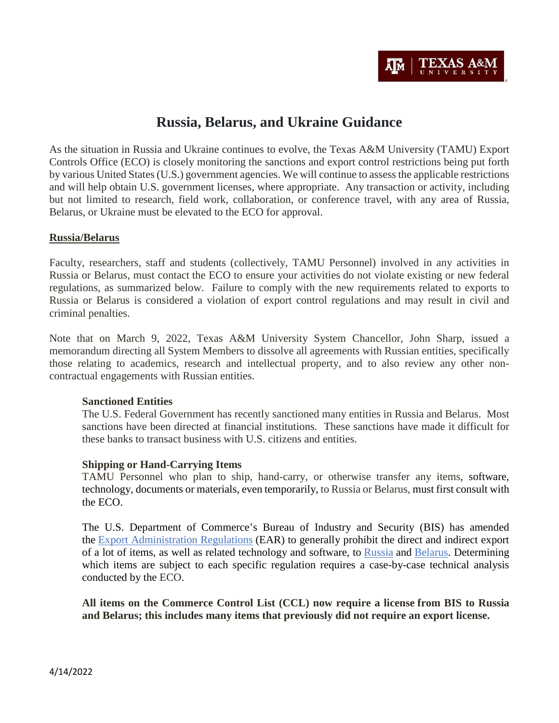

# **Russia, Belarus, and Ukraine Guidance**

As the situation in Russia and Ukraine continues to evolve, the Texas A&M University (TAMU) Export Controls Office (ECO) is closely monitoring the sanctions and export control restrictions being put forth by various United States (U.S.) government agencies. We will continue to assess the applicable restrictions and will help obtain U.S. government licenses, where appropriate. Any transaction or activity, including but not limited to research, field work, collaboration, or conference travel, with any area of Russia, Belarus, or Ukraine must be elevated to the ECO for approval.

#### **Russia/Belarus**

Faculty, researchers, staff and students (collectively, TAMU Personnel) involved in any activities in Russia or Belarus, must contact the ECO to ensure your activities do not violate existing or new federal regulations, as summarized below. Failure to comply with the new requirements related to exports to Russia or Belarus is considered a violation of export control regulations and may result in civil and criminal penalties.

Note that on March 9, 2022, Texas A&M University System Chancellor, John Sharp, issued a memorandum directing all System Members to dissolve all agreements with Russian entities, specifically those relating to academics, research and intellectual property, and to also review any other noncontractual engagements with Russian entities.

#### **Sanctioned Entities**

The U.S. Federal Government has recently sanctioned many entities in Russia and Belarus. Most sanctions have been directed at financial institutions. These sanctions have made it difficult for these banks to transact business with U.S. citizens and entities.

### **Shipping or Hand-Carrying Items**

TAMU Personnel who plan to ship, hand-carry, or otherwise transfer any items, software, technology, documents or materials, even temporarily, to Russia or Belarus, must first consult with the ECO.

The U.S. Department of Commerce's Bureau of Industry and Security (BIS) has amended the [Export Administration Regulations](https://www.bis.doc.gov/index.php/regulations/export-administration-regulations-ear) (EAR) to generally prohibit the direct and indirect export of a lot of items, as well as related technology and software, to [Russia](https://bis.doc.gov/index.php/documents/about-bis/newsroom/press-releases/2914-2022-02-24-bis-russia-rule-press-release-and-tweets-final/file) and [Belarus.](https://bis.doc.gov/index.php/documents/about-bis/newsroom/press-releases/2916-2022-03-02-bis-belarus-rule-press-release-final/file) Determining which items are subject to each specific regulation requires a case-by-case technical analysis conducted by the ECO.

**All items on the Commerce Control List (CCL) now require a license from BIS to Russia and Belarus; this includes many items that previously did not require an export license.**